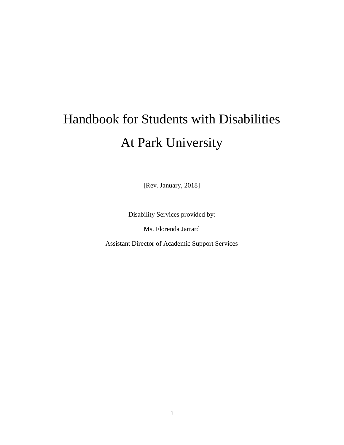# Handbook for Students with Disabilities At Park University

[Rev. January, 2018]

Disability Services provided by:

Ms. Florenda Jarrard

Assistant Director of Academic Support Services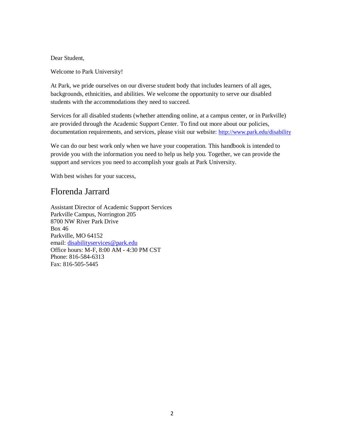Dear Student,

Welcome to Park University!

At Park, we pride ourselves on our diverse student body that includes learners of all ages, backgrounds, ethnicities, and abilities. We welcome the opportunity to serve our disabled students with the accommodations they need to succeed.

Services for all disabled students (whether attending online, at a campus center, or in Parkville) are provided through the Academic Support Center. To find out more about our policies, documentation requirements, and services, please visit our website: <http://www.park.edu/disability>

We can do our best work only when we have your cooperation. This handbook is intended to provide you with the information you need to help us help you. Together, we can provide the support and services you need to accomplish your goals at Park University.

With best wishes for your success,

# Florenda Jarrard

Assistant Director of Academic Support Services Parkville Campus, Norrington 205 8700 NW River Park Drive Box 46 Parkville, MO 64152 email: [disabilityservices@park.edu](mailto:disabilityservices@park.edu) Office hours: M-F, 8:00 AM - 4:30 PM CST Phone: 816-584-6313 Fax: 816-505-5445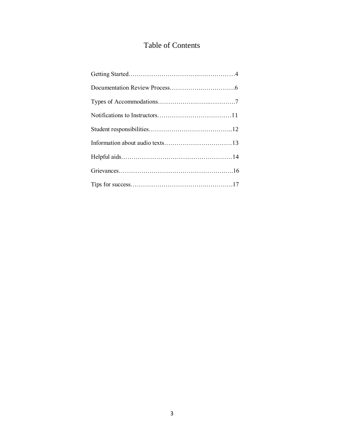# Table of Contents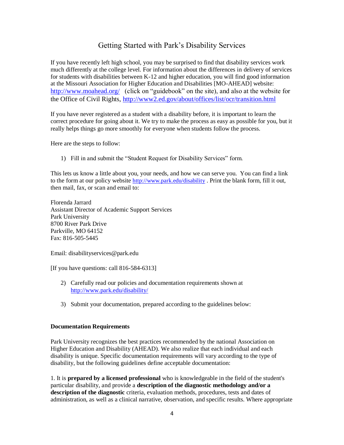## Getting Started with Park's Disability Services

If you have recently left high school, you may be surprised to find that disability services work much differently at the college level. For information about the differences in delivery of services for students with disabilities between K-12 and higher education, you will find good information at the Missouri Association for Higher Education and Disabilities [MO-AHEAD] website: <http://www.moahead.org/>(click on "guidebook" on the site), and also at the website for the Office of Civil Rights,<http://www2.ed.gov/about/offices/list/ocr/transition.html>

If you have never registered as a student with a disability before, it is important to learn the correct procedure for going about it. We try to make the process as easy as possible for you, but it really helps things go more smoothly for everyone when students follow the process.

Here are the steps to follow:

1) Fill in and submit the "Student Request for Disability Services" form.

This lets us know a little about you, your needs, and how we can serve you. You can find a link to the form at our policy website <http://www.park.edu/disability> . Print the blank form, fill it out, then mail, fax, or scan and email to:

Florenda Jarrard Assistant Director of Academic Support Services Park University 8700 River Park Drive Parkville, MO 64152 Fax: 816-505-5445

Email: disabilityservices@park.edu

[If you have questions: call 816-584-6313]

- 2) Carefully read our policies and documentation requirements shown at <http://www.park.edu/disability/>
- 3) Submit your documentation, prepared according to the guidelines below:

#### **Documentation Requirements**

Park University recognizes the best practices recommended by the national Association on Higher Education and Disability (AHEAD). We also realize that each individual and each disability is unique. Specific documentation requirements will vary according to the type of disability, but the following guidelines define acceptable documentation:

1. It is **prepared by a licensed professional** who is knowledgeable in the field of the student's particular disability, and provide a **description of the diagnostic methodology and/or a description of the diagnostic** criteria, evaluation methods, procedures, tests and dates of administration, as well as a clinical narrative, observation, and specific results. Where appropriate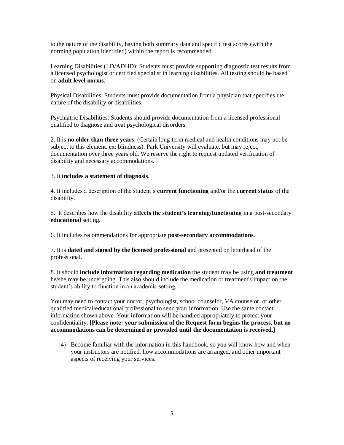to the nature of the disability, having both summary data and specific test scores (with the norming population identified) within the report is recommended.

Learning Disabilities (LD/ADHD): Students must provide supporting diagnostic test results from a licensed psychologist or certified specialist in learning disabilities. All testing should be based on **adult level norms**.

Physical Disabilities: Students must provide documentation from a physician that specifies the nature of the disability or disabilities.

Psychiatric Disabilities: Students should provide documentation from a licensed professional qualified to diagnose and treat psychological disorders.

2. It is **no older than three years**. (Certain long-term medical and health conditions may not be subject to this element. ex: blindness). Park University will evaluate, but may reject, documentation over three years old. We reserve the right to request updated verification of disability and necessary accommodations.

#### 3. It **includes a statement of diagnosis**.

4. It includes a description of the student's **current functioning** and/or the **current status** of the disability.

5. It describes how the disability **affects the student's learning/functioning** in a post-secondary **educational** setting.

6. It includes recommendations for appropriate **post-secondary accommodations**.

7. It is **dated and signed by the licensed professional** and presented on letterhead of the professional.

8. It should **include information regarding medication** the student may be using **and treatment** he/she may be undergoing. This also should include the medication or treatment's impact on the student's ability to function in an academic setting.

You may need to contact your doctor, psychologist, school counselor, VA counselor, or other qualified medical/educational professional to send your information. Use the same contact information shown above. Your information will be handled appropriately to protect your confidentiality. **[Please note: your submission of the Request form begins the process, but no accommodations can be determined or provided until the documentation is received.]**

4) Become familiar with the information in this handbook, so you will know how and when your instructors are notified, how accommodations are arranged, and other important aspects of receiving your services.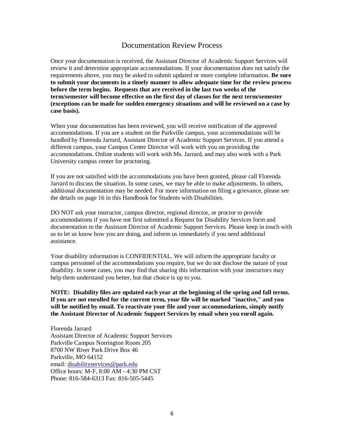#### Documentation Review Process

Once your documentation is received, the Assistant Director of Academic Support Services will review it and determine appropriate accommodations. If your documentation does not satisfy the requirements above, you may be asked to submit updated or more complete information. **Be sure to submit your documents in a timely manner to allow adequate time for the review process before the term begins. Requests that are received in the last two weeks of the term/semester will become effective on the first day of classes for the next term/semester (exceptions can be made for sudden emergency situations and will be reviewed on a case by case basis).**

When your documentation has been reviewed, you will receive notification of the approved accommodations. If you are a student on the Parkville campus, your accommodations will be handled by Florenda Jarrard, Assistant Director of Academic Support Services. If you attend a different campus, your Campus Center Director will work with you on providing the accommodations. Online students will work with Ms. Jarrard, and may also work with a Park University campus center for proctoring.

If you are not satisfied with the accommodations you have been granted, please call Florenda Jarrard to discuss the situation. In some cases, we may be able to make adjustments. In others, additional documentation may be needed. For more information on filing a grievance, please see the details on page 16 in this Handbook for Students with Disabilities.

DO NOT ask your instructor, campus director, regional director, or proctor to provide accommodations if you have not first submitted a Request for Disability Services form and documentation to the Assistant Director of Academic Support Services. Please keep in touch with us to let us know how you are doing, and inform us immediately if you need additional assistance.

Your disability information is CONFIDENTIAL. We will inform the appropriate faculty or campus personnel of the accommodations you require, but we do not disclose the nature of your disability. In some cases, you may find that sharing this information with your instructors may help them understand you better, but that choice is up to you.

**NOTE: Disability files are updated each year at the beginning of the spring and fall terms. If you are not enrolled for the current term, your file will be marked "inactive," and you will be notified by email. To reactivate your file and your accommodations, simply notify the Assistant Director of Academic Support Services by email when you enroll again.** 

Florenda Jarrard Assistant Director of Academic Support Services Parkville Campus Norrington Room 205 8700 NW River Park Drive Box 46 Parkville, MO 64152 email: [disabilityservices@park.edu](mailto:disabilityservices@park.edu) Office hours: M-F, 8:00 AM - 4:30 PM CST Phone: 816-584-6313 Fax: 816-505-5445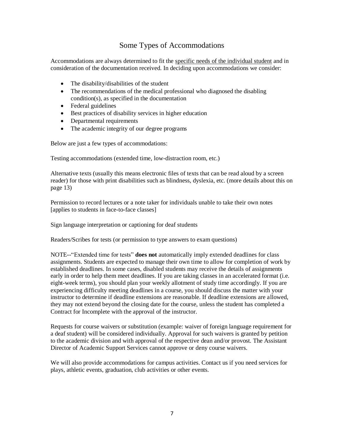# Some Types of Accommodations

Accommodations are always determined to fit the specific needs of the individual student and in consideration of the documentation received. In deciding upon accommodations we consider:

- The disability/disabilities of the student
- The recommendations of the medical professional who diagnosed the disabling condition(s), as specified in the documentation
- Federal guidelines
- Best practices of disability services in higher education
- Departmental requirements
- The academic integrity of our degree programs

Below are just a few types of accommodations:

Testing accommodations (extended time, low-distraction room, etc.)

Alternative texts (usually this means electronic files of texts that can be read aloud by a screen reader) for those with print disabilities such as blindness, dyslexia, etc. (more details about this on page 13)

Permission to record lectures or a note taker for individuals unable to take their own notes [applies to students in face-to-face classes]

Sign language interpretation or captioning for deaf students

Readers/Scribes for tests (or permission to type answers to exam questions)

NOTE--"Extended time for tests" **does not** automatically imply extended deadlines for class assignments. Students are expected to manage their own time to allow for completion of work by established deadlines. In some cases, disabled students may receive the details of assignments early in order to help them meet deadlines. If you are taking classes in an accelerated format (i.e. eight-week terms), you should plan your weekly allotment of study time accordingly. If you are experiencing difficulty meeting deadlines in a course, you should discuss the matter with your instructor to determine if deadline extensions are reasonable. If deadline extensions are allowed, they may not extend beyond the closing date for the course, unless the student has completed a Contract for Incomplete with the approval of the instructor.

Requests for course waivers or substitution (example: waiver of foreign language requirement for a deaf student) will be considered individually. Approval for such waivers is granted by petition to the academic division and with approval of the respective dean and/or provost. The Assistant Director of Academic Support Services cannot approve or deny course waivers.

We will also provide accommodations for campus activities. Contact us if you need services for plays, athletic events, graduation, club activities or other events.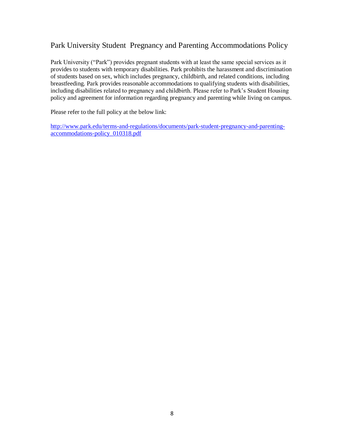# Park University Student Pregnancy and Parenting Accommodations Policy

Park University ("Park") provides pregnant students with at least the same special services as it provides to students with temporary disabilities. Park prohibits the harassment and discrimination of students based on sex, which includes pregnancy, childbirth, and related conditions, including breastfeeding. Park provides reasonable accommodations to qualifying students with disabilities, including disabilities related to pregnancy and childbirth. Please refer to Park's Student Housing policy and agreement for information regarding pregnancy and parenting while living on campus.

Please refer to the full policy at the below link:

[http://www.park.edu/terms-and-regulations/documents/park-student-pregnancy-and-parenting](http://www.park.edu/terms-and-regulations/documents/park-student-pregnancy-and-parenting-accommodations-policy_010318.pdf)[accommodations-policy\\_010318.pdf](http://www.park.edu/terms-and-regulations/documents/park-student-pregnancy-and-parenting-accommodations-policy_010318.pdf)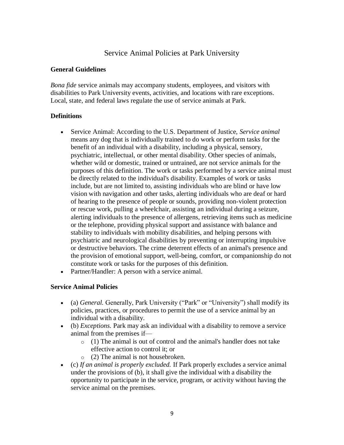## Service Animal Policies at Park University

#### **General Guidelines**

*Bona fide* service animals may accompany students, employees, and visitors with disabilities to Park University events, activities, and locations with rare exceptions. Local, state, and federal laws regulate the use of service animals at Park.

#### **Definitions**

- Service Animal: According to the U.S. Department of Justice, *Service animal* means any dog that is individually trained to do work or perform tasks for the benefit of an individual with a disability, including a physical, sensory, psychiatric, intellectual, or other mental disability. Other species of animals, whether wild or domestic, trained or untrained, are not service animals for the purposes of this definition. The work or tasks performed by a service animal must be directly related to the individual's disability. Examples of work or tasks include, but are not limited to, assisting individuals who are blind or have low vision with navigation and other tasks, alerting individuals who are deaf or hard of hearing to the presence of people or sounds, providing non-violent protection or rescue work, pulling a wheelchair, assisting an individual during a seizure, alerting individuals to the presence of allergens, retrieving items such as medicine or the telephone, providing physical support and assistance with balance and stability to individuals with mobility disabilities, and helping persons with psychiatric and neurological disabilities by preventing or interrupting impulsive or destructive behaviors. The crime deterrent effects of an animal's presence and the provision of emotional support, well-being, comfort, or companionship do not constitute work or tasks for the purposes of this definition.
- Partner/Handler: A person with a service animal.

#### **Service Animal Policies**

- (a) *General.* Generally, Park University ("Park" or "University") shall modify its policies, practices, or procedures to permit the use of a service animal by an individual with a disability.
- (b) *Exceptions.* Park may ask an individual with a disability to remove a service animal from the premises if—
	- $\circ$  (1) The animal is out of control and the animal's handler does not take effective action to control it; or
	- o (2) The animal is not housebroken.
- (c) *If an animal is properly excluded.* If Park properly excludes a service animal under the provisions of (b), it shall give the individual with a disability the opportunity to participate in the service, program, or activity without having the service animal on the premises.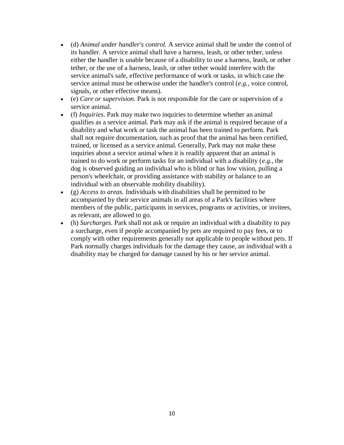- (d) *Animal under handler's control.* A service animal shall be under the control of its handler. A service animal shall have a harness, leash, or other tether, unless either the handler is unable because of a disability to use a harness, leash, or other tether, or the use of a harness, leash, or other tether would interfere with the service animal's safe, effective performance of work or tasks, in which case the service animal must be otherwise under the handler's control (*e.g.*, voice control, signals, or other effective means).
- (e) *Care or supervision.* Park is not responsible for the care or supervision of a service animal.
- (f) *Inquiries*. Park may make two inquiries to determine whether an animal qualifies as a service animal. Park may ask if the animal is required because of a disability and what work or task the animal has been trained to perform. Park shall not require documentation, such as proof that the animal has been certified, trained, or licensed as a service animal. Generally, Park may not make these inquiries about a service animal when it is readily apparent that an animal is trained to do work or perform tasks for an individual with a disability (*e.g.*, the dog is observed guiding an individual who is blind or has low vision, pulling a person's wheelchair, or providing assistance with stability or balance to an individual with an observable mobility disability).
- (g) *Access to areas.* Individuals with disabilities shall be permitted to be accompanied by their service animals in all areas of a Park's facilities where members of the public, participants in services, programs or activities, or invitees, as relevant, are allowed to go.
- (h) *Surcharges.* Park shall not ask or require an individual with a disability to pay a surcharge, even if people accompanied by pets are required to pay fees, or to comply with other requirements generally not applicable to people without pets. If Park normally charges individuals for the damage they cause, an individual with a disability may be charged for damage caused by his or her service animal.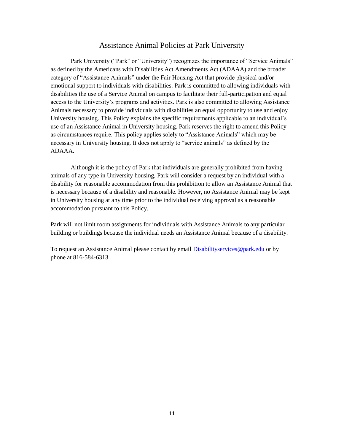#### Assistance Animal Policies at Park University

Park University ("Park" or "University") recognizes the importance of "Service Animals" as defined by the Americans with Disabilities Act Amendments Act (ADAAA) and the broader category of "Assistance Animals" under the Fair Housing Act that provide physical and/or emotional support to individuals with disabilities. Park is committed to allowing individuals with disabilities the use of a Service Animal on campus to facilitate their full-participation and equal access to the University's programs and activities. Park is also committed to allowing Assistance Animals necessary to provide individuals with disabilities an equal opportunity to use and enjoy University housing. This Policy explains the specific requirements applicable to an individual's use of an Assistance Animal in University housing. Park reserves the right to amend this Policy as circumstances require. This policy applies solely to "Assistance Animals" which may be necessary in University housing. It does not apply to "service animals" as defined by the ADAAA.

Although it is the policy of Park that individuals are generally prohibited from having animals of any type in University housing, Park will consider a request by an individual with a disability for reasonable accommodation from this prohibition to allow an Assistance Animal that is necessary because of a disability and reasonable. However, no Assistance Animal may be kept in University housing at any time prior to the individual receiving approval as a reasonable accommodation pursuant to this Policy.

Park will not limit room assignments for individuals with Assistance Animals to any particular building or buildings because the individual needs an Assistance Animal because of a disability.

To request an Assistance Animal please contact by email Disability services @park.edu or by phone at 816-584-6313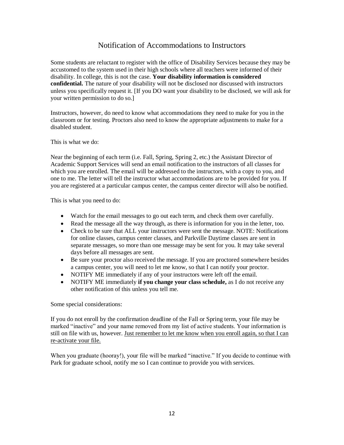## Notification of Accommodations to Instructors

Some students are reluctant to register with the office of Disability Services because they may be accustomed to the system used in their high schools where all teachers were informed of their disability. In college, this is not the case. **Your disability information is considered confidential.** The nature of your disability will not be disclosed nor discussed with instructors unless you specifically request it. [If you DO want your disability to be disclosed, we will ask for your written permission to do so.]

Instructors, however, do need to know what accommodations they need to make for you in the classroom or for testing. Proctors also need to know the appropriate adjustments to make for a disabled student.

This is what we do:

Near the beginning of each term (i.e. Fall, Spring, Spring 2, etc.) the Assistant Director of Academic Support Services will send an email notification to the instructors of all classes for which you are enrolled. The email will be addressed to the instructors, with a copy to you, and one to me. The letter will tell the instructor what accommodations are to be provided for you. If you are registered at a particular campus center, the campus center director will also be notified.

This is what you need to do:

- Watch for the email messages to go out each term, and check them over carefully.
- Read the message all the way through, as there is information for you in the letter, too.
- Check to be sure that ALL your instructors were sent the message. NOTE: Notifications for online classes, campus center classes, and Parkville Daytime classes are sent in separate messages, so more than one message may be sent for you. It may take several days before all messages are sent.
- Be sure your proctor also received the message. If you are proctored somewhere besides a campus center, you will need to let me know, so that I can notify your proctor.
- NOTIFY ME immediately if any of your instructors were left off the email.
- NOTIFY ME immediately **if you change your class schedule,** as I do not receive any other notification of this unless you tell me.

Some special considerations:

If you do not enroll by the confirmation deadline of the Fall or Spring term, your file may be marked "inactive" and your name removed from my list of active students. Your information is still on file with us, however. Just remember to let me know when you enroll again, so that I can re-activate your file.

When you graduate (hooray!), your file will be marked "inactive." If you decide to continue with Park for graduate school, notify me so I can continue to provide you with services.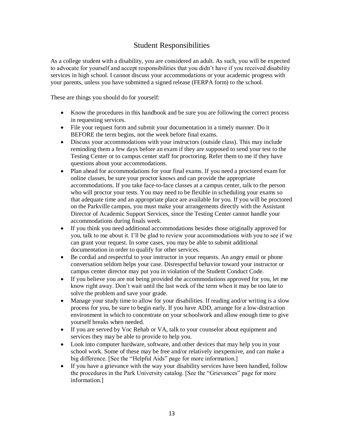## Student Responsibilities

As a college student with a disability, you are considered an adult. As such, you will be expected to advocate for yourself and accept responsibilities that you didn't have if you received disability services in high school. I cannot discuss your accommodations or your academic progress with your parents, unless you have submitted a signed release (FERPA form) to the school.

These are things you should do for yourself:

- Know the procedures in this handbook and be sure you are following the correct process in requesting services.
- File your request form and submit your documentation in a timely manner. Do it BEFORE the term begins, not the week before final exams.
- Discuss your accommodations with your instructors (outside class). This may include reminding them a few days before an exam if they are supposed to send your test to the Testing Center or to campus center staff for proctoring. Refer them to me if they have questions about your accommodations.
- Plan ahead for accommodations for your final exams. If you need a proctored exam for online classes, be sure your proctor knows and can provide the appropriate accommodations. If you take face-to-face classes at a campus center, talk to the person who will proctor your tests. You may need to be flexible in scheduling your exams so that adequate time and an appropriate place are available for you. If you will be proctored on the Parkville campus, you must make your arrangements directly with the Assistant Director of Academic Support Services, since the Testing Center cannot handle your accommodations during finals week.
- If you think you need additional accommodations besides those originally approved for you, talk to me about it. I'll be glad to review your accommodations with you to see if we can grant your request. In some cases, you may be able to submit additional documentation in order to qualify for other services.
- Be cordial and respectful to your instructor in your requests. An angry email or phone conversation seldom helps your case. Disrespectful behavior toward your instructor or campus center director may put you in violation of the Student Conduct Code.
- If you believe you are not being provided the accommodations approved for you, let me know right away. Don't wait until the last week of the term when it may be too late to solve the problem and save your grade.
- Manage your study time to allow for your disabilities. If reading and/or writing is a slow process for you, be sure to begin early. If you have ADD, arrange for a low-distraction environment in which to concentrate on your schoolwork and allow enough time to give yourself breaks when needed.
- If you are served by Voc Rehab or VA, talk to your counselor about equipment and services they may be able to provide to help you.
- Look into computer hardware, software, and other devices that may help you in your school work. Some of these may be free and/or relatively inexpensive, and can make a big difference. [See the "Helpful Aids" page for more information.]
- If you have a grievance with the way your disability services have been handled, follow the procedures in the Park University catalog. [See the "Grievances" page for more information.]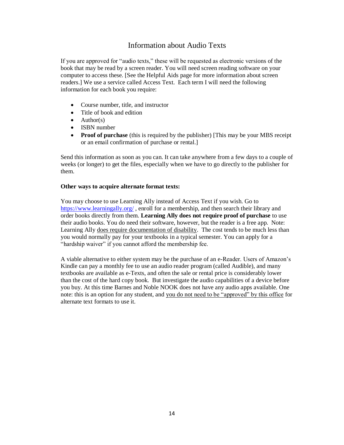## Information about Audio Texts

If you are approved for "audio texts," these will be requested as electronic versions of the book that may be read by a screen reader. You will need screen reading software on your computer to access these. [See the Helpful Aids page for more information about screen readers.] We use a service called Access Text. Each term I will need the following information for each book you require:

- Course number, title, and instructor
- Title of book and edition
- $\bullet$  Author(s)
- ISBN number
- **Proof of purchase** (this is required by the publisher) [This may be your MBS receipt or an email confirmation of purchase or rental.]

Send this information as soon as you can. It can take anywhere from a few days to a couple of weeks (or longer) to get the files, especially when we have to go directly to the publisher for them.

#### **Other ways to acquire alternate format texts:**

You may choose to use Learning Ally instead of Access Text if you wish. Go to <https://www.learningally.org/>, enroll for a membership, and then search their library and order books directly from them. **Learning Ally does not require proof of purchase** to use their audio books. You do need their software, however, but the reader is a free app. Note: Learning Ally does require documentation of disability. The cost tends to be much less than you would normally pay for your textbooks in a typical semester. You can apply for a "hardship waiver" if you cannot afford the membership fee.

A viable alternative to either system may be the purchase of an e-Reader. Users of Amazon's Kindle can pay a monthly fee to use an audio reader program (called Audible), and many textbooks are available as e-Texts, and often the sale or rental price is considerably lower than the cost of the hard copy book. But investigate the audio capabilities of a device before you buy. At this time Barnes and Noble NOOK does not have any audio apps available. One note: this is an option for any student, and you do not need to be "approved" by this office for alternate text formats to use it.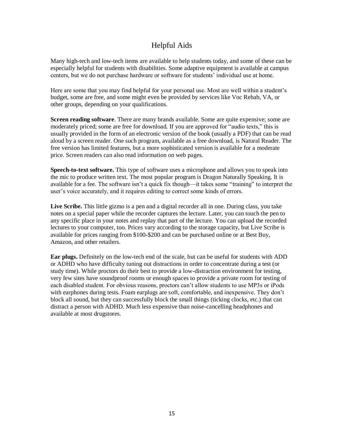## Helpful Aids

Many high-tech and low-tech items are available to help students today, and some of these can be especially helpful for students with disabilities. Some adaptive equipment is available at campus centers, but we do not purchase hardware or software for students' individual use at home.

Here are some that you may find helpful for your personal use. Most are well within a student's budget, some are free, and some might even be provided by services like Voc Rehab, VA, or other groups, depending on your qualifications.

**Screen reading software**. There are many brands available. Some are quite expensive; some are moderately priced; some are free for download. If you are approved for "audio texts," this is usually provided in the form of an electronic version of the book (usually a PDF) that can be read aloud by a screen reader. One such program, available as a free download, is Natural Reader. The free version has limited features, but a more sophisticated version is available for a moderate price. Screen readers can also read information on web pages.

**Speech-to-text software.** This type of software uses a microphone and allows you to speak into the mic to produce written text. The most popular program is Dragon Naturally Speaking. It is available for a fee. The software isn't a quick fix though—it takes some "training" to interpret the user's voice accurately, and it requires editing to correct some kinds of errors.

**Live Scribe.** This little gizmo is a pen and a digital recorder all in one. During class, you take notes on a special paper while the recorder captures the lecture. Later, you can touch the pen to any specific place in your notes and replay that part of the lecture. You can upload the recorded lectures to your computer, too. Prices vary according to the storage capacity, but Live Scribe is available for prices ranging from \$100-\$200 and can be purchased online or at Best Buy, Amazon, and other retailers.

**Ear plugs.** Definitely on the low-tech end of the scale, but can be useful for students with ADD or ADHD who have difficulty tuning out distractions in order to concentrate during a test (or study time). While proctors do their best to provide a low-distraction environment for testing, very few sites have soundproof rooms or enough spaces to provide a private room for testing of each disabled student. For obvious reasons, proctors can't allow students to use MP3s or iPods with earphones during tests. Foam earplugs are soft, comfortable, and inexpensive. They don't block all sound, but they can successfully block the small things (ticking clocks, etc.) that can distract a person with ADHD. Much less expensive than noise-cancelling headphones and available at most drugstores.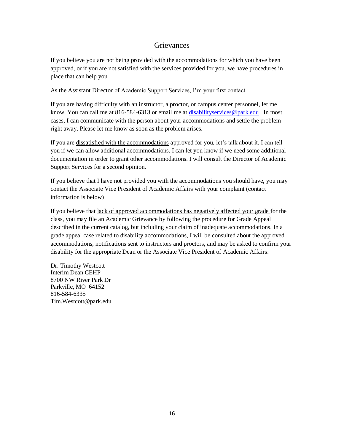## **Grievances**

If you believe you are not being provided with the accommodations for which you have been approved, or if you are not satisfied with the services provided for you, we have procedures in place that can help you.

As the Assistant Director of Academic Support Services, I'm your first contact.

If you are having difficulty with an instructor, a proctor, or campus center personnel, let me know. You can call me at 816-584-6313 or email me at disability services @park.edu. In most cases, I can communicate with the person about your accommodations and settle the problem right away. Please let me know as soon as the problem arises.

If you are dissatisfied with the accommodations approved for you, let's talk about it. I can tell you if we can allow additional accommodations. I can let you know if we need some additional documentation in order to grant other accommodations. I will consult the Director of Academic Support Services for a second opinion.

If you believe that I have not provided you with the accommodations you should have, you may contact the Associate Vice President of Academic Affairs with your complaint (contact information is below)

If you believe that lack of approved accommodations has negatively affected your grade for the class, you may file an Academic Grievance by following the procedure for Grade Appeal described in the current catalog, but including your claim of inadequate accommodations. In a grade appeal case related to disability accommodations, I will be consulted about the approved accommodations, notifications sent to instructors and proctors, and may be asked to confirm your disability for the appropriate Dean or the Associate Vice President of Academic Affairs:

Dr. Timothy Westcott Interim Dean CEHP 8700 NW River Park Dr Parkville, MO 64152 816-584-6335 Tim.Westcott@park.edu